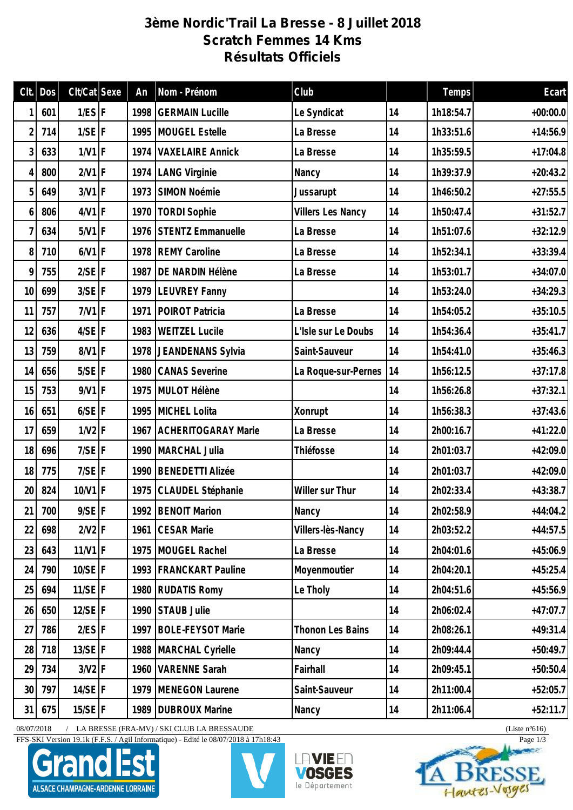## **3ème Nordic'Trail La Bresse - 8 Juillet 2018 Scratch Femmes 14 Kms Résultats Officiels**

| Clt.            | Dos    | $Clt/Cat$ Sexe       | An   | Nom - Prénom               | Club                     |    | Temps     | Ecart      |
|-----------------|--------|----------------------|------|----------------------------|--------------------------|----|-----------|------------|
|                 | 601    | $1/ES$ F             | 1998 | <b>GERMAIN Lucille</b>     | Le Syndicat              | 14 | 1h18:54.7 | $+00:00.0$ |
| 2               | 714    | $1/SE$ F             | 1995 | MOUGEL Estelle             | La Bresse                | 14 | 1h33:51.6 | $+14:56.9$ |
| 3               | 633    | $1/V1$ F             | 1974 | <b>VAXELAIRE Annick</b>    | La Bresse                | 14 | 1h35:59.5 | $+17:04.8$ |
| 4               | 800    | $2/V1$ F             |      | 1974   LANG Virginie       | Nancy                    | 14 | 1h39:37.9 | $+20:43.2$ |
| 5               | 649    | $3/V1$ F             | 1973 | SIMON Noémie               | Jussarupt                | 14 | 1h46:50.2 | $+27:55.5$ |
| 6               | 806    | $4/V1$ F             | 1970 | <b>TORDI Sophie</b>        | <b>Villers Les Nancy</b> | 14 | 1h50:47.4 | $+31:52.7$ |
| 7               | 634    | $5/V1$ F             | 1976 | STENTZ Emmanuelle          | La Bresse                | 14 | 1h51:07.6 | $+32:12.9$ |
| 8               | 710    | $6/N1$ F             | 1978 | <b>REMY Caroline</b>       | La Bresse                | 14 | 1h52:34.1 | $+33:39.4$ |
| 9               | 755    | $2/SE$ F             | 1987 | DE NARDIN Hélène           | La Bresse                | 14 | 1h53:01.7 | $+34:07.0$ |
| 10              | 699    | $3/SE$ F             | 1979 | <b>LEUVREY Fanny</b>       |                          | 14 | 1h53:24.0 | $+34:29.3$ |
| 11              | 757    | $7/V1$ F             | 1971 | POIROT Patricia            | La Bresse                | 14 | 1h54:05.2 | $+35:10.5$ |
| 12              | 636    | $4/SE$ F             | 1983 | <b>WEITZEL Lucile</b>      | L'Isle sur Le Doubs      | 14 | 1h54:36.4 | $+35:41.7$ |
| 13              | 759    | 8/V1 F               |      | 1978 JEANDENANS Sylvia     | Saint-Sauveur            | 14 | 1h54:41.0 | $+35:46.3$ |
| 14              | 656    | $5/SE$ <sup>F</sup>  | 1980 | <b>CANAS Severine</b>      | La Roque-sur-Pernes      | 14 | 1h56:12.5 | $+37:17.8$ |
| 15              | 753    | $9/V1$ F             |      | 1975 MULOT Hélène          |                          | 14 | 1h56:26.8 | $+37:32.1$ |
| 16              | 651    | $6/SE$ F             |      | 1995 MICHEL Lolita         | Xonrupt                  | 14 | 1h56:38.3 | $+37:43.6$ |
| 17              | 659    | $1/N2$ F             | 1967 | <b>ACHERITOGARAY Marie</b> | La Bresse                | 14 | 2h00:16.7 | $+41:22.0$ |
| 18              | 696    | $7/SE$ F             |      | 1990   MARCHAL Julia       | Thiéfosse                | 14 | 2h01:03.7 | $+42:09.0$ |
| 18              | 775    | $7/SE$ F             | 1990 | <b>BENEDETTI Alizée</b>    |                          | 14 | 2h01:03.7 | $+42:09.0$ |
| 20 <sup>°</sup> | 824    | $10/V1$ F            | 1975 | CLAUDEL Stéphanie          | Willer sur Thur          | 14 | 2h02:33.4 | $+43:38.7$ |
|                 | 21 700 | $9/SE$ F             |      | 1992   BENOIT Marion       | Nancy                    | 14 | 2h02:58.9 | $+44:04.2$ |
| 22              | 698    | $2/N2$ F             |      | 1961 CESAR Marie           | Villers-lès-Nancy        | 14 | 2h03:52.2 | $+44:57.5$ |
| 23              | 643    | $11/V1$ F            |      | 1975 MOUGEL Rachel         | La Bresse                | 14 | 2h04:01.6 | $+45:06.9$ |
| 24              | 790    | $10/SE$ F            |      | 1993   FRANCKART Pauline   | Moyenmoutier             | 14 | 2h04:20.1 | $+45:25.4$ |
| 25              | 694    | $11/SE$ <sup>F</sup> |      | 1980 RUDATIS Romy          | Le Tholy                 | 14 | 2h04:51.6 | $+45:56.9$ |
| 26              | 650    | $12/SE$ F            | 1990 | STAUB Julie                |                          | 14 | 2h06:02.4 | $+47:07.7$ |
| 27              | 786    | $2/ES$ F             |      | 1997   BOLE-FEYSOT Marie   | Thonon Les Bains         | 14 | 2h08:26.1 | $+49:31.4$ |
| 28              | 718    | $13/SE$ <sup>F</sup> |      | 1988   MARCHAL Cyrielle    | Nancy                    | 14 | 2h09:44.4 | $+50:49.7$ |
| 29              | 734    | $3/N2$ F             |      | 1960   VARENNE Sarah       | Fairhall                 | 14 | 2h09:45.1 | $+50:50.4$ |
| 30 <sup>1</sup> | 797    | $14/SE$ F            |      | 1979   MENEGON Laurene     | Saint-Sauveur            | 14 | 2h11:00.4 | $+52:05.7$ |
| 31              | 675    | $15/SE$ F            |      | 1989   DUBROUX Marine      | Nancy                    | 14 | 2h11:06.4 | $+52:11.7$ |

08/07/2018 / LA BRESSE (FRA-MV) / SKI CLUB LA BRESSAUDE (Liste n°616)

FFS-SKI Version 19.1k (F.F.S. / Agil Informatique) - Edité le 08/07/2018 à 17h18:43 Page 1/3







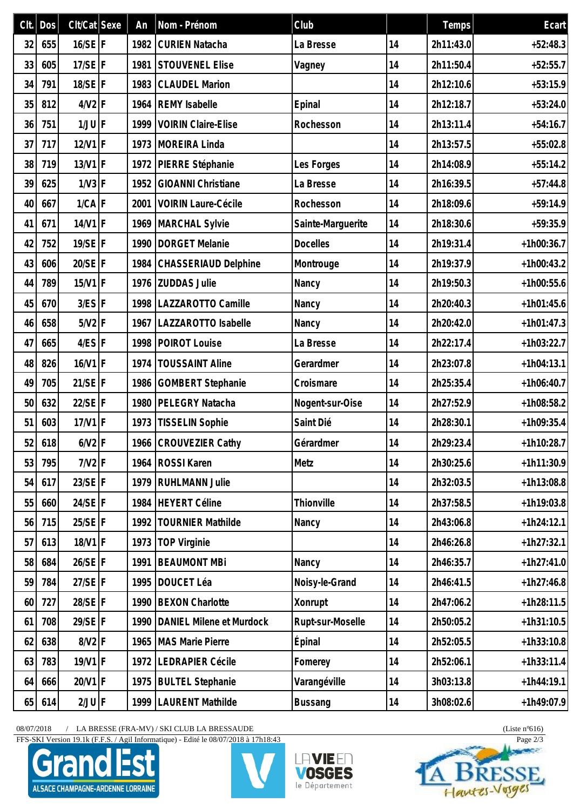| Clt. | Dos | $Clt/Cat$ Sexe | An   | Nom - Prénom                  | Club              |    | Temps     | Ecart        |
|------|-----|----------------|------|-------------------------------|-------------------|----|-----------|--------------|
| 32   | 655 | $16/SE$ F      | 1982 | <b>CURIEN Natacha</b>         | La Bresse         | 14 | 2h11:43.0 | $+52:48.3$   |
| 33   | 605 | $17/SE$ F      | 1981 | <b>STOUVENEL Elise</b>        | Vagney            | 14 | 2h11:50.4 | $+52:55.7$   |
| 34   | 791 | $18/SE$ F      | 1983 | <b>CLAUDEL Marion</b>         |                   | 14 | 2h12:10.6 | $+53:15.9$   |
| 35   | 812 | $4/V2$ F       | 1964 | <b>REMY Isabelle</b>          | Epinal            | 14 | 2h12:18.7 | $+53:24.0$   |
| 36   | 751 | $1/JU$ F       | 1999 | <b>VOIRIN Claire-Elise</b>    | Rochesson         | 14 | 2h13:11.4 | $+54:16.7$   |
| 37   | 717 | $12/V1$ F      | 1973 | MOREIRA Linda                 |                   | 14 | 2h13:57.5 | $+55:02.8$   |
| 38   | 719 | $13/V1$ F      |      | 1972 PIERRE Stéphanie         | Les Forges        | 14 | 2h14:08.9 | $+55:14.2$   |
| 39   | 625 | $1/N3$ F       | 1952 | <b>GIOANNI Christiane</b>     | La Bresse         | 14 | 2h16:39.5 | $+57:44.8$   |
| 40   | 667 | $1/CA$ F       | 2001 | <b>VOIRIN Laure-Cécile</b>    | Rochesson         | 14 | 2h18:09.6 | $+59:14.9$   |
| 41   | 671 | $14/V1$ F      |      | 1969 MARCHAL Sylvie           | Sainte-Marguerite | 14 | 2h18:30.6 | $+59:35.9$   |
| 42   | 752 | $19/SE$ F      | 1990 | <b>DORGET Melanie</b>         | <b>Docelles</b>   | 14 | 2h19:31.4 | $+1h00:36.7$ |
| 43   | 606 | 20/SE F        | 1984 | CHASSERIAUD Delphine          | Montrouge         | 14 | 2h19:37.9 | $+1h00:43.2$ |
| 44   | 789 | $15/V1$ F      | 1976 | <b>ZUDDAS Julie</b>           | Nancy             | 14 | 2h19:50.3 | $+1h00:55.6$ |
| 45   | 670 | $3/ES$ $F$     | 1998 | LAZZAROTTO Camille            | Nancy             | 14 | 2h20:40.3 | $+1h01:45.6$ |
| 46   | 658 | $5/V2$ F       | 1967 | LAZZAROTTO Isabelle           | Nancy             | 14 | 2h20:42.0 | $+1h01:47.3$ |
| 47   | 665 | $4/ES$ F       | 1998 | POIROT Louise                 | La Bresse         | 14 | 2h22:17.4 | $+1h03:22.7$ |
| 48   | 826 | $16/V1$ F      | 1974 | <b>TOUSSAINT Aline</b>        | Gerardmer         | 14 | 2h23:07.8 | $+1h04:13.1$ |
| 49   | 705 | $21/SE$ F      | 1986 | <b>GOMBERT Stephanie</b>      | Croismare         | 14 | 2h25:35.4 | $+1h06:40.7$ |
| 50   | 632 | $22/SE$ F      | 1980 | PELEGRY Natacha               | Nogent-sur-Oise   | 14 | 2h27:52.9 | $+1h08:58.2$ |
| 51   | 603 | $17/V1$ F      | 1973 | <b>TISSELIN Sophie</b>        | Saint Dié         | 14 | 2h28:30.1 | $+1h09:35.4$ |
| 52   | 618 | $6/N2$ F       |      | 1966 CROUVEZIER Cathy         | Gérardmer         | 14 | 2h29:23.4 | $+1h10:28.7$ |
| 53   | 795 | $7/V2$ F       | 1964 | <b>ROSSI Karen</b>            | Metz              | 14 | 2h30:25.6 | $+1h11:30.9$ |
| 54   | 617 | $23/SE$ F      | 1979 | <b>RUHLMANN Julie</b>         |                   | 14 | 2h32:03.5 | $+1h13:08.8$ |
| 55   | 660 | $24/SE$ F      | 1984 | HEYERT Céline                 | Thionville        | 14 | 2h37:58.5 | $+1h19:03.8$ |
| 56   | 715 | $25/SE$ F      | 1992 | <b>TOURNIER Mathilde</b>      | Nancy             | 14 | 2h43:06.8 | $+1h24:12.1$ |
| 57   | 613 | $18/V1$ F      | 1973 | <b>TOP Virginie</b>           |                   | 14 | 2h46:26.8 | $+1h27:32.1$ |
| 58   | 684 | $26/SE$ F      | 1991 | <b>BEAUMONT MBi</b>           | Nancy             | 14 | 2h46:35.7 | $+1h27:41.0$ |
| 59   | 784 | $27/SE$ F      | 1995 | DOUCET Léa                    | Noisy-le-Grand    | 14 | 2h46:41.5 | $+1h27:46.8$ |
| 60   | 727 | 28/SE F        | 1990 | <b>BEXON Charlotte</b>        | Xonrupt           | 14 | 2h47:06.2 | $+1h28:11.5$ |
| 61   | 708 | $29/SE$ F      |      | 1990 DANIEL Milene et Murdock | Rupt-sur-Moselle  | 14 | 2h50:05.2 | $+1h31:10.5$ |
| 62   | 638 | $8/V2$ F       | 1965 | <b>MAS Marie Pierre</b>       | Épinal            | 14 | 2h52:05.5 | $+1h33:10.8$ |
| 63   | 783 | $19/V1$ F      | 1972 | <b>LEDRAPIER Cécile</b>       | Fomerey           | 14 | 2h52:06.1 | $+1h33:11.4$ |
| 64   | 666 | 20/V1 F        | 1975 | <b>BULTEL Stephanie</b>       | Varangéville      | 14 | 3h03:13.8 | $+1h44:19.1$ |
| 65   | 614 | $2/JU$  F      | 1999 | LAURENT Mathilde              | <b>Bussang</b>    | 14 | 3h08:02.6 | $+1h49:07.9$ |

 $08/07/2018$  / LA BRESSE (FRA-MV) / SKI CLUB LA BRESSAUDE (Liste n°616)

FFS-SKI Version 19.1k (F.F.S. / Agil Informatique) - Edité le 08/07/2018 à 17h18:43